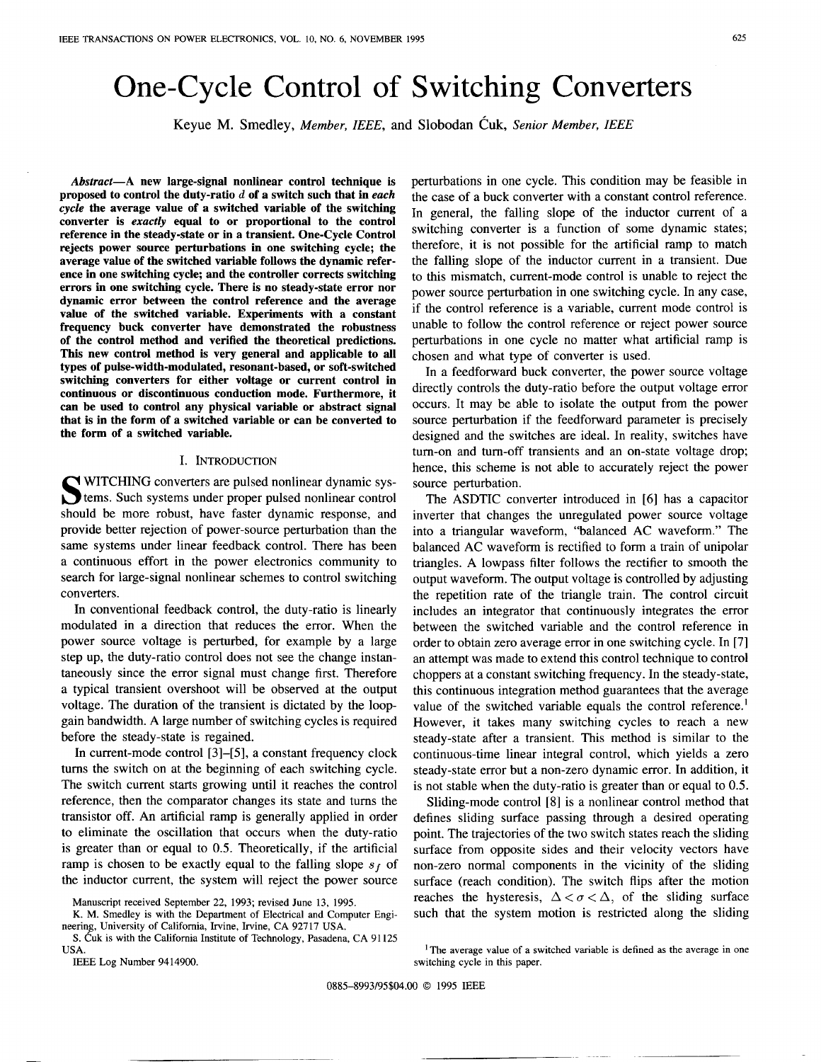# One-Cycle Control of Switching Converters

**Keyue** M. **Smedley,** *Member, IEEE,* **and Slobodan Cuk,** *Senior Member, IEEE* 

*Abstract-A* **new large-signal nonlinear control technique is proposed to control the duty-ratio d of a switch such that in** *each cycle* **the average value of a switched variable of the switching converter is** *exactly* **equal to or proportional to the control reference in the steady-state or in a transient. One-Cycle Control rejects power source perturbations in one switching cycle; the average value of the switched variable follows the dynamic reference in one switching cycle; and the controller corrects switching errors in one switching cycle. There is no steady-state error nor dynamic error between the control reference and the average value of the switched variable. Experiments with a constant frequency buck converter have demonstrated the robustness of the control method and verified the theoretical predictions. This new control method is very general and applicable to all types of pulse-width-modulated, resonant-based, or soft-switched switching converters for either voltage or current control in continuous or discontinuous conduction mode. Furthermore, it**  *can* **be used to control any physical variable or abstract signal that is in the form of a switched variable or can be converted to the form of a switched variable.** 

# I. INTRODUCTION

WITCHING converters are pulsed nonlinear dynamic systems. Such systems under proper pulsed nonlinear control should be more robust, have faster dynamic response, and provide better rejection of power-source perturbation than the same systems under linear feedback control. There has been a continuous effort in the power electronics community to search for large-signal nonlinear schemes to control switching converters.

In conventional feedback control, the duty-ratio is linearly modulated in a direction that reduces the error. When the power source voltage is perturbed, for example by a large step up, the duty-ratio control does not see the change instantaneously since the error signal must change first. Therefore a typical transient overshoot will be observed at the output voltage. The duration of the transient is dictated by the loopgain bandwidth. A large number of switching cycles is required before the steady-state is regained.

In current-mode control **[3]-[5],** a constant frequency clock turns the switch on at the beginning of each switching cycle. The switch current starts growing until it reaches the control reference, then the comparator changes its state and turns the transistor off. An artificial ramp is generally applied in order to eliminate the oscillation that occurs when the duty-ratio is greater than or equal to 0.5. Theoretically, if the artificial ramp is chosen to be exactly equal to the falling slope  $s_f$  of the inductor current, the system will reject the power source

K. M. Smedley is with the Department of Electrical and Computer Engineering, University of California, Irvine, Irvine, CA 92717 USA.

S. Čuk is with the California Institute of Technology, Pasadena, CA 91125 USA.

IEEE Log Number 9414900.

perturbations in one cycle. This condition may be feasible in the case of a buck converter with a constant control reference. In general, the falling slope of the inductor current of a switching converter is a function of some dynamic states; therefore, it is not possible for the artificial ramp to match the falling slope of the inductor current in a transient. Due to this mismatch, current-mode control is unable to reject the power source perturbation in one switching cycle. In any case, if the control reference is a variable, current mode control is unable to follow the control reference or reject power source perturbations in one cycle no matter what artificial ramp is chosen and what type of converter is used.

In a feedforward buck converter, the power source voltage directly controls the duty-ratio before the output voltage error occurs. It may be able to isolate the output from the power source perturbation if the feedforward parameter is precisely designed and the switches are ideal. In reality, switches have turn-on and turn-off transients and an on-state voltage drop; hence, this scheme is not able to accurately reject the power source perturbation.

The ASDTIC converter introduced in **[6]** has a capacitor inverter that changes the unregulated power source voltage into a triangular waveform, "balanced AC waveform." The balanced AC waveform is rectified to form a train of unipolar triangles. A lowpass filter follows the rectifier to smooth the output waveform. The output voltage is controlled by adjusting the repetition rate of the triangle train. The control circuit includes an integrator that continuously integrates the error between the switched variable and the control reference in order to obtain zero average error in one switching cycle. In [7] an attempt was made to extend this control technique to control choppers at a constant switching frequency. In the steady-state, this continuous integration method guarantees that the average value of the switched variable equals the control reference.<sup>1</sup> However, it takes many switching cycles to reach a new steady-state after a transient. This method is similar to the continuous-time linear integral control, which yields a zero steady-state error but a non-zero dynamic error. In addition, it is not stable when the duty-ratio is greater than or equal to 0.5.

Sliding-mode control **[SI** is a nonlinear control method that defines sliding surface passing through a desired operating point. The trajectories of the two switch states reach the sliding surface from opposite sides and their velocity vectors have non-zero normal components in the vicinity of the sliding surface (reach condition). The switch flips after the motion reaches the hysteresis,  $\Delta < \sigma < \Delta$ , of the sliding surface such that the system motion is restricted along the sliding

0885-8993/95\$04.00 *0* 1995 IEEE

Manuscript received September 22, 1993; revised June 13, 1995.

<sup>&</sup>lt;sup>1</sup>The average value of a switched variable is defined as the average in one switching cycle in this paper.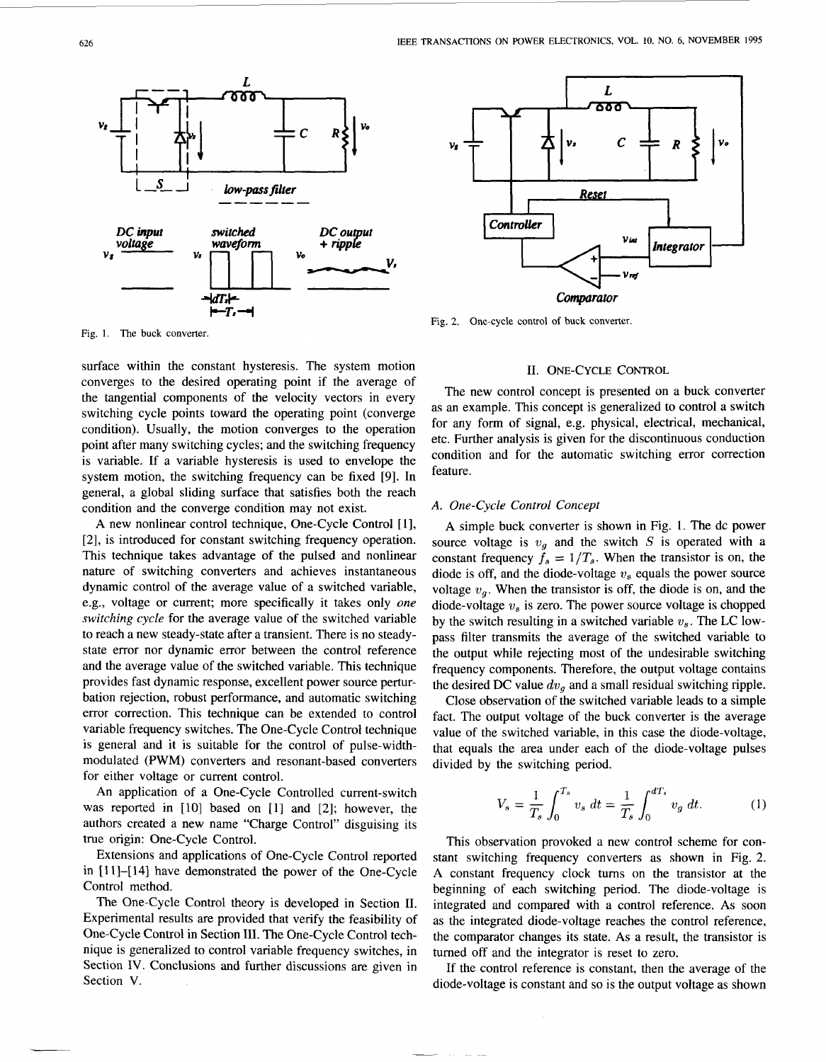

**Fig.** I. The buck converter.

surface within the constant hysteresis. The system motion **11. ONE-CYCLE CONTROL** converges to the desired operating point if the average of the tangential components of the velocity vectors in every switching cycle points toward the operating point (converge condition). Usually, the motion converges to the operation point after many switching cycles; and the switching frequency is variable. If a variable hysteresis is used to envelope the system motion, the switching frequency can be fixed **[9].** In general, a global sliding surface that satisfies both the reach condition and the converge condition may not exist.

A new nonlinear control technique, One-Cycle Control [ **13,**  *[2],* is introduced for constant switching frequency operation. This technique takes advantage of the pulsed and nonlinear nature of switching converters and achieves instantaneous dynamic control of the average value of a switched variable, e.g., voltage or current; more specifically it takes only *one switching cycle* for the average value of the switched variable to reach a new steady-state after a transient. There is no steadystate error nor dynamic error between the control reference and the average value of the switched variable. This technique provides fast dynamic response, excellent power source perturbation rejection, robust performance, and automatic switching error correction. This technique can be extended to control variable frequency switches. The One-Cycle Control technique is general and it is suitable for the control of pulse-widthmodulated (PWM) converters and resonant-based converters for either voltage or current control.

An application of a One-Cycle Controlled current-switch was reported in [10] based on [1] and [2]; however, the authors created a new name "Charge Control" disguising its true origin: One-Cycle Control.

Extensions and applications of One-Cycle Control reported in **[l** I]-[ 141 have demonstrated the power of the One-Cycle Control method.

The One-Cycle Control theory is developed in Section **11.**  Experimental results are provided that verify the feasibility of One-Cycle Control in Section 111. The One-Cycle Control technique is generalized to control variable frequency switches, in Section IV. Conclusions and further discussions are given in Section V.



**Fig.** 2. One-cycle control **of** buck converter.

The new control concept is presented on a buck converter as an example. This concept is generalized to control a switch for any form of signal, e.g. physical, electrical, mechanical, etc. Further analysis is given for the discontinuous conduction condition and for the automatic switching error correction feature.

### *A. One-Cycle Control Concept*

A simple buck converter is shown in Fig. 1. The dc power source voltage is  $v_g$  and the switch *S* is operated with a constant frequency  $\bar{f}_s = 1/T_s$ . When the transistor is on, the diode is off, and the diode-voltage *U,* equals the power source voltage  $v_q$ . When the transistor is off, the diode is on, and the diode-voltage *U,* is zero. The power source voltage is chopped by the switch resulting in a switched variable  $v_s$ . The LC lowpass filter transmits the average of the switched variable to the output while rejecting most of the undesirable switching frequency components. Therefore, the output voltage contains the desired DC value *dug* and a small residual switching ripple.

Close observation of the switched variable leads to a simple fact. The output voltage of the buck converter is the average value of the switched variable, in this case the diode-voltage, that equals the area under each of the diode-voltage pulses divided by the switching period.

$$
V_s = \frac{1}{T_s} \int_0^{T_s} v_s \, dt = \frac{1}{T_s} \int_0^{dT_s} v_g \, dt. \tag{1}
$$

This observation provoked a new control scheme for constant switching frequency converters as shown in Fig. **2.**  A constant frequency clock turns on the transistor at the beginning of each switching period. The diode-voltage is integrated and compared with a control reference. As soon as the integrated diode-voltage reaches the control reference, the comparator changes its state. **As** a result, the transistor is turned off and the integrator is reset to zero.

If the control reference is constant, then the average of the diode-voltage is constant and so is the output voltage as shown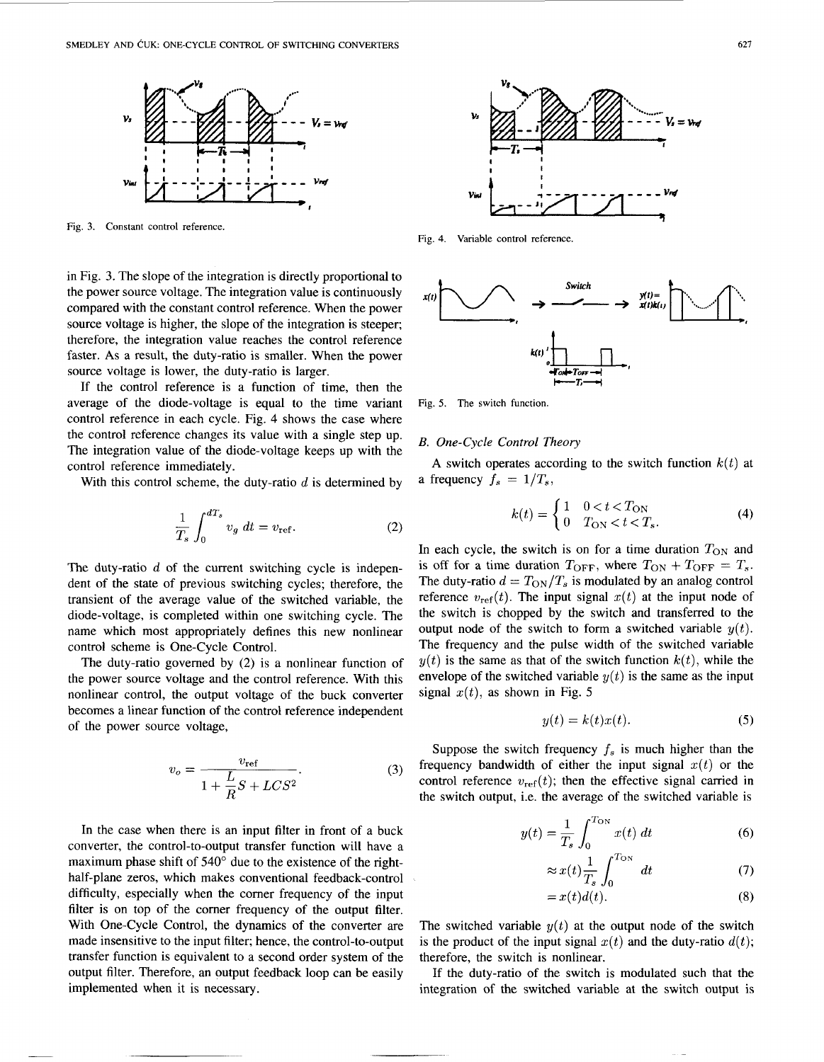

Fig. 3. Constant control reference.

in Fig. 3. The slope of the integration is directly proportional to the power source voltage. The integration value is continuously compared with the constant control reference. When the power source voltage is higher, the slope of the integration is steeper; therefore, the integration value reaches the control reference faster. **As** a result, the duty-ratio is smaller. When the power source voltage is lower, the duty-ratio is larger.

If the control reference is a function of time, then the average of the diode-voltage is equal to the time variant control reference in each cycle. Fig. 4 shows the case where the control reference changes its value with a single step up. The integration value of the diode-voltage keeps up with the control reference immediately.

With this control scheme, the duty-ratio *d* is determined by

$$
\frac{1}{T_s} \int_0^{dT_s} v_g \ dt = v_{\text{ref}}.
$$
 (2)

The duty-ratio *d* of the current switching cycle is independent of the state of previous switching cycles; therefore, the transient of the average value of the switched variable, the diode-voltage, is completed within one switching cycle. The name which most appropriately defines this new nonlinear control scheme is One-Cycle Control.

The duty-ratio governed by (2) is a nonlinear function of the power source voltage and the control reference. With this nonlinear control, the output voltage of the buck converter becomes a linear function of the control reference independent of the power source voltage,

$$
v_o = \frac{v_{\text{ref}}}{1 + \frac{L}{R}S + LCS^2}.\tag{3}
$$

In the case when there is an input filter in front of a buck converter, the control-to-output transfer function will have a maximum phase shift of 540° due to the existence of the righthalf-plane zeros, which makes conventional feedback-control difficulty, especially when the comer frequency of the input filter is on top of the comer frequency of the output filter. With One-Cycle Control, the dynamics of the converter are made insensitive to the input filter; hence, the control-to-output transfer function is equivalent to a second order system of the output filter. Therefore, an output feedback loop can be easily implemented when it is necessary.



Fig. **4.** Variable control reference.



Fig. 5. The switch function.

### *B. One-Cycle Control Theory*

a frequency  $f_s = 1/T_s$ , A switch operates according to the switch function  $k(t)$  at

$$
k(t) = \begin{cases} 1 & 0 < t < T_{\text{ON}} \\ 0 & T_{\text{ON}} < t < T_s. \end{cases}
$$
 (4)

In each cycle, the switch is on for a time duration  $T_{ON}$  and is off for a time duration  $T_{\text{OFF}}$ , where  $T_{\text{ON}} + T_{\text{OFF}} = T_s$ . The duty-ratio  $d = T_{\text{ON}}/T_s$  is modulated by an analog control reference  $v_{ref}(t)$ . The input signal  $x(t)$  at the input node of the switch is chopped by the switch and transferred to the output node of the switch to form a switched variable  $y(t)$ . The frequency and the pulse width of the switched variable  $y(t)$  is the same as that of the switch function  $k(t)$ , while the envelope of the switched variable  $y(t)$  is the same as the input signal  $x(t)$ , as shown in Fig. 5

$$
y(t) = k(t)x(t). \tag{5}
$$

Suppose the switch frequency  $f_s$  is much higher than the frequency bandwidth of either the input signal  $x(t)$  or the control reference  $v_{ref}(t)$ ; then the effective signal carried in the switch output, i.e. the average of the switched variable is

$$
y(t) = \frac{1}{T_s} \int_0^{T_{\text{ON}}} x(t) dt
$$
 (6)

$$
\approx x(t) \frac{1}{T_s} \int_0^{T_{\text{ON}}} dt \tag{7}
$$

$$
=x(t)d(t).
$$
 (8)

The switched variable  $y(t)$  at the output node of the switch is the product of the input signal  $x(t)$  and the duty-ratio  $d(t)$ ; therefore, the switch is nonlinear.

If the duty-ratio of the switch is modulated such that the integration of the switched variable at the switch output is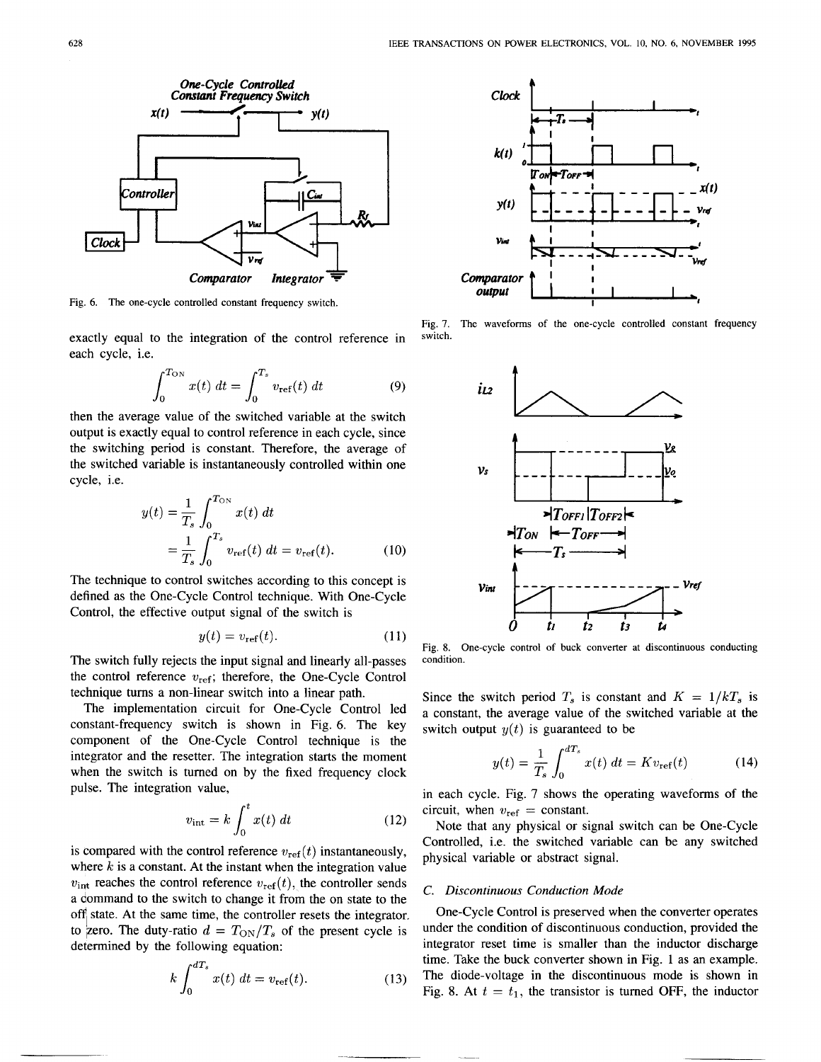

**Fig. 6. The one-cycle controlled constant frequency switch.** 

exactly equal to the integration of the control reference in each cycle, i.e.

$$
\int_0^{T_{\rm ON}} x(t) \, dt = \int_0^{T_s} v_{\rm ref}(t) \, dt \tag{9}
$$

then the average value of the switched variable at the switch output is exactly equal to control reference in each cycle, since the switching period is constant. Therefore, the average of the switched variable is instantaneously controlled within one cycle, i.e.

$$
y(t) = \frac{1}{T_s} \int_0^{T_{ON}} x(t) dt
$$
  
=  $\frac{1}{T_s} \int_0^{T_s} v_{ref}(t) dt = v_{ref}(t).$  (10)

The technique to control switches according to this concept is defined as the One-Cycle Control technique. With One-Cycle Control, the effective output signal of the switch is

$$
y(t) = v_{\text{ref}}(t). \tag{11}
$$

The switch fully rejects the input signal and linearly all-passes the control reference **wref;** therefore, the One-Cycle Control technique turns a non-linear switch into a linear path.

The implementation circuit for One-Cycle Control led constant-frequency switch is shown in Fig. **6.** The key component of the One-Cycle Control technique is the integrator and the resetter. The integration **starts** the moment when the switch is turned on by the fixed frequency clock pulse. The integration value,

$$
v_{\rm int} = k \int_0^t x(t) \, dt \tag{12}
$$

is compared with the control reference  $v_{ref}(t)$  instantaneously, where *k* is a constant. At the instant when the integration value  $v_{\text{int}}$  reaches the control reference  $v_{\text{ref}}(t)$ , the controller sends  $v_{\text{int}}$  calculus the control reference  $v_{\text{ref}}(v)$ , the controller sends *C. Discontinuous Conduction Mode a command to the switch to change it from the on state to the* off state. At the same time, the controller resets the integrator. determined by the following equation: to zero. The duty-ratio  $d = T_{ON}/T_s$  of the present cycle is under the condition of discontinuous conduction, provided the

$$
k \int_0^{dT_s} x(t) \, dt = v_{\text{ref}}(t). \tag{13}
$$



**Fig. 7. The waveforms of the one-cycle controlled constant frequency switch.** 



**Fig. 8. One-cycle control of buck converter at discontinuous conducting condition.** 

Since the switch period  $T_s$  is constant and  $K = 1/kT_s$  is a constant, the average value of the switched variable at the switch output  $y(t)$  is guaranteed to be

$$
y(t) = \frac{1}{T_s} \int_0^{dT_s} x(t) \, dt = K v_{\text{ref}}(t) \tag{14}
$$

in each cycle. Fig. 7 shows the operating waveforms of the circuit, when  $v_{ref}$  = constant.

Note that any physical or signal switch can be One-Cycle Controlled, i.e. the switched variable can be any switched physical variable or abstract signal.

One-Cycle Control is preserved when the converter operates integrator reset time is smaller than the inductor discharge time. Take the buck converter shown in Fig. 1 as an example. The diode-voltage in the discontinuous mode is shown in Fig. 8. At  $t = t_1$ , the transistor is turned OFF, the inductor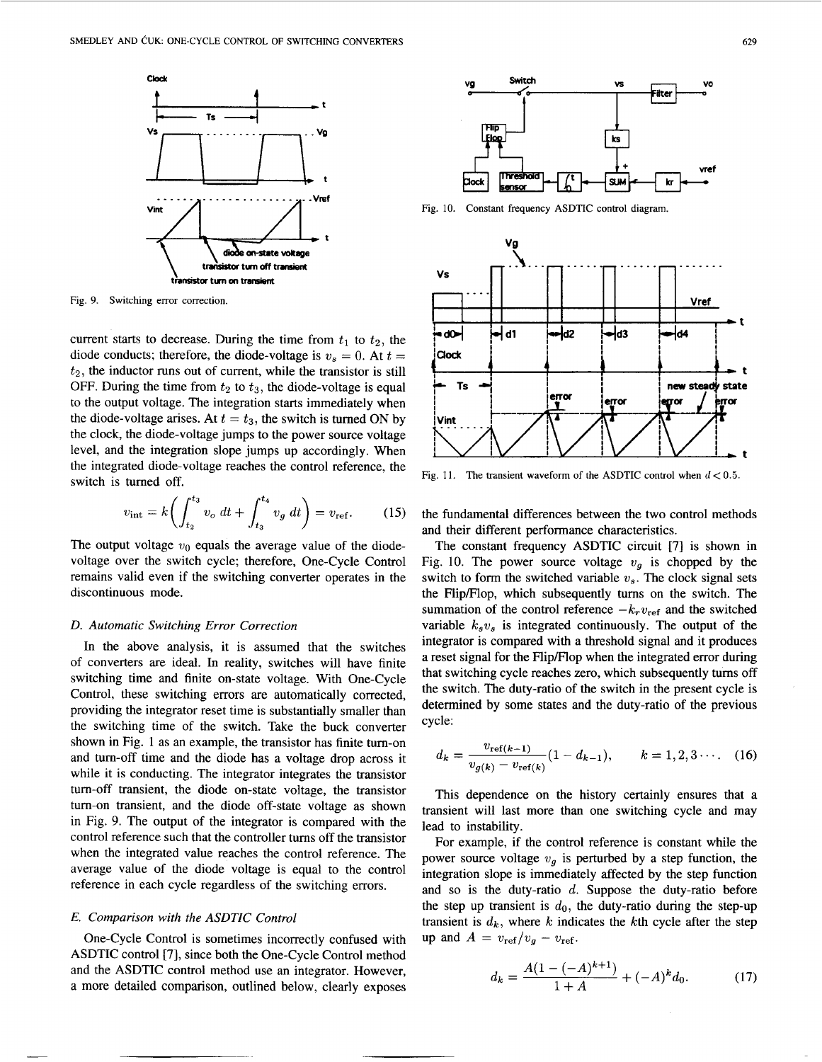<span id="page-4-0"></span>

**Fig. 9. Switching error correction.** 

current starts to decrease. During the time from  $t_1$  to  $t_2$ , the diode conducts; therefore, the diode-voltage is  $v_s = 0$ . At  $t =$  $t_2$ , the inductor runs out of current, while the transistor is still OFF. During the time from  $t_2$  to  $t_3$ , the diode-voltage is equal to the output voltage. The integration starts immediately when the diode-voltage arises. At  $t = t_3$ , the switch is turned ON by the clock, the diode-voltage jumps to the power source voltage level, and the integration slope jumps up accordingly. When the integrated diode-voltage reaches the control reference, the switch is turned off.

$$
v_{\rm int} = k \bigg( \int_{t_2}^{t_3} v_o \, dt + \int_{t_3}^{t_4} v_g \, dt \bigg) = v_{\rm ref}. \tag{15}
$$

The output voltage  $v_0$  equals the average value of the diodevoltage over the switch cycle; therefore, One-Cycle Control remains valid even if the switching converter operates in the discontinuous mode.

# *D. Automatic Switching Error Correction*

In the above analysis, it is assumed that the switches of converters are ideal. In reality, switches will have finite switching time and finite on-state voltage. With One-Cycle Control, these switching errors are automatically corrected, providing the integrator reset time is substantially smaller than the switching time of the switch. Take the buck converter shown in Fig. 1 as an example, the transistor has finite turn-on and turn-off time and the diode has a voltage drop across it while it is conducting. The integrator integrates the transistor tum-off transient, the diode on-state voltage, the transistor tum-on transient, and the diode off-state voltage as shown in Fig. 9. The output of the integrator is compared with the control reference such that the controller tums off the transistor when the integrated value reaches the control reference. The average value of the diode voltage is equal to the control reference in each cycle regardless of the switching errors.

# *E. Comparison with the ASDTIC Control*

One-Cycle Control is sometimes incorrectly confused with ASDTIC control [7], since both the One-Cycle Control method and the ASDTIC control method use an integrator. However, a more detailed comparison, outlined below, clearly exposes



**Fig.** 10. **Constant frequency ASDTIC control diagram.** 



Fig. 11. The transient waveform of the ASDTIC control when  $d < 0.5$ .

the fundamental differences between the two control methods and their different performance characteristics.

The constant frequency ASDTIC circuit [7] is shown in Fig. 10. The power source voltage  $v<sub>a</sub>$  is chopped by the switch to form the switched variable  $v_s$ . The clock signal sets the FlipFlop, which subsequently tums on the switch. The summation of the control reference  $-k_r v_{\text{ref}}$  and the switched variable  $k_s v_s$  is integrated continuously. The output of the integrator is compared with a threshold signal and it produces a reset signal for the Flip/Flop when the integrated error during that switching cycle reaches zero, which subsequently tums off the switch. The duty-ratio of the switch in the present cycle is determined by some states and the duty-ratio of the previous cycle:

$$
d_k = \frac{v_{\text{ref}(k-1)}}{v_{g(k)} - v_{\text{ref}(k)}} (1 - d_{k-1}), \qquad k = 1, 2, 3 \cdots. \quad (16)
$$

This dependence on the history certainly ensures that a transient will last more than one switching cycle and may lead to instability.

For example, if the control reference is constant while the power source voltage  $v<sub>g</sub>$  is perturbed by a step function, the integration slope is immediately affected by the step function and so is the duty-ratio *d.* Suppose the duty-ratio before the step up transient is  $d_0$ , the duty-ratio during the step-up transient is  $d_k$ , where  $k$  indicates the  $k$ th cycle after the step up and  $A = v_{ref}/v_q - v_{ref}$ .

$$
d_k = \frac{A(1 - (-A)^{k+1})}{1 + A} + (-A)^k d_0.
$$
 (17)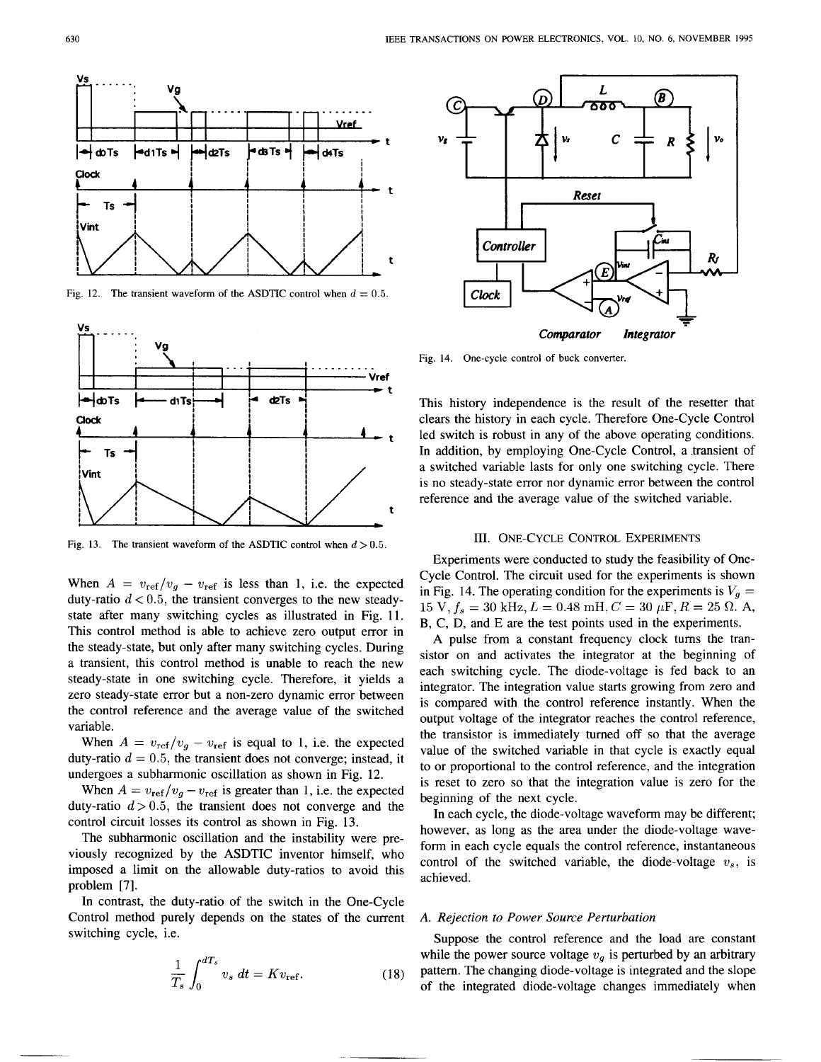

**Fig. 12.** The transient waveform of the ASDTIC control when  $d = 0.5$ .



Fig. 13. The transient waveform of the ASDTIC control when  $d > 0.5$ .

When  $A = v_{ref}/v_g - v_{ref}$  is less than 1, i.e. the expected duty-ratio  $d < 0.5$ , the transient converges to the new steadystate after many switching cycles as illustrated in Fig. 11. This control method is able to achieve zero output error in the steady-state, but only after many switching cycles. During a transient, this control method is unable to reach the new steady-state in one switching cycle. Therefore, it yields a zero steady-state error but a non-zero dynamic error between the control reference and the average value of the switched variable.

When  $A = v_{ref}/v_g - v_{ref}$  is equal to 1, i.e. the expected duty-ratio  $d = 0.5$ , the transient does not converge; instead, it undergoes a subharmonic oscillation as shown in Fig. 12.

When  $A = v_{ref}/v_g - v_{ref}$  is greater than 1, i.e. the expected duty-ratio  $d > 0.5$ , the transient does not converge and the control circuit losses its control as shown in Fig. 13.

The subharmonic oscillation and the instability were previously recognized by the ASDTIC inventor himself, who imposed a limit on the allowable duty-ratios to avoid this problem [7].

In contrast, the duty-ratio of the switch in the One-Cycle Control method purely depends on the states of the current switching cycle, i.e.

$$
\frac{1}{T_s} \int_0^{dT_s} v_s \, dt = K v_{\text{ref}}.
$$
\n(18)



**Fig. 14. One-cycle control of buck converter.** 

This history independence is the result of the resetter that clears the history in each cycle. Therefore One-Cycle Control led switch is robust in any of the above operating conditions. In addition, by employing One-Cycle Control, a .transient of a switched variable lasts for only one switching cycle. There is no steady-state error nor dynamic error between the control reference and the average value of the switched variable.

### 111. ONE-CYCLE CONTROL EXPERIMENTS

Experiments were conducted to study the feasibility of One-Cycle Control. The circuit used for the experiments is shown in Fig. 14. The operating condition for the experiments is  $V_a =$  $15 \text{ V}, f_s = 30 \text{ kHz}, L = 0.48 \text{ mH}, C = 30 \mu\text{F}, R = 25 \Omega.$  A, **B,** C, D, and E are the test points used in the experiments.

A pulse from a constant frequency clock turns the transistor on and activates the integrator at the beginning of each switching cycle. The diode-voltage is fed back to an integrator. The integration value starts growing from zero and is compared with the control reference instantly. When the output voltage of the integrator reaches the control reference, the transistor is immediately turned off so that the average value of the switched variable in that cycle is exactly equal to or proportional to the control reference, and the integration is reset to zero so that the integration value is zero for the beginning of the next cycle.

In each cycle, the diode-voltage waveform may be different; however, as long as the area under the diode-voltage waveform in each cycle equals the control reference, instantaneous control of the switched variable, the diode-voltage  $v_s$ , is achieved.

#### *A. Rejection to Power Source Perturbation*

Suppose the control reference and the load are constant while the power source voltage  $v<sub>q</sub>$  is perturbed by an arbitrary pattern. The changing diode-voltage is integrated and the slope of the integrated diode-voltage changes immediately when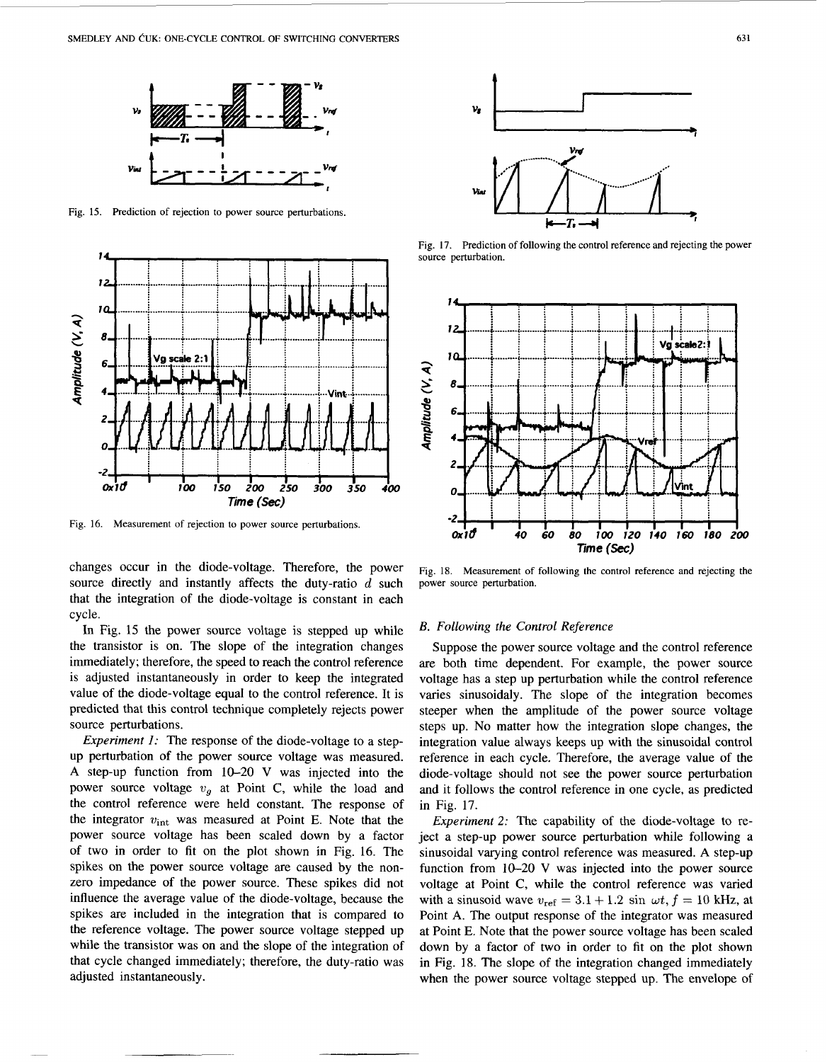

**Fig. 15. Prediction of rejection to power source perturbations** 



**Fig. 16. Measurement of rejection to power source perturbations.** 

changes occur in the diode-voltage. Therefore, the power source directly and instantly affects the duty-ratio d such that the integration of the diode-voltage is constant in each cycle.

In Fig. 15 the power source voltage is stepped up while the transistor is on. The slope of the integration changes immediately; therefore, the speed to reach the control reference is adjusted instantaneously in order to keep the integrated value of the diode-voltage equal to the control reference. It is predicted that this control technique completely rejects power source perturbations.

*Experiment 1:* The response of the diode-voltage to a stepup perturbation of the power source voltage was measured. **A** step-up function from **10-20** V was injected into the power source voltage  $v<sub>q</sub>$  at Point C, while the load and the control reference were held constant. The response of the integrator  $v_{\text{int}}$  was measured at Point E. Note that the power source voltage has been scaled down by a factor of two in order to fit on the plot shown in Fig. 16. The spikes on the power source voltage are caused by the nonzero impedance of the power source. These spikes did not influence the average value of the diode-voltage, because the spikes are included in the integration that is compared to the reference voltage. The power source voltage stepped up while the transistor was on and the slope of the integration of that cycle changed immediately; therefore, the duty-ratio was adjusted instantaneously.



**Fig. 17. Prediction of following the control reference and rejecting the power source perturbation.** 



**Fig. 18. Measurement of following the control reference and rejecting the power source perturbation.** 

#### *B. Following the Control Reference*

Suppose the power source voltage and the control reference are both time dependent. For example, the power source voltage has a step up perturbation while the control reference varies sinusoidaly. The slope of the integration becomes steeper when the amplitude of the power source voltage steps up. No matter how the integration slope changes, the integration value always keeps up with the sinusoidal control reference in each cycle. Therefore, the average value of the diode-voltage should not see the power source perturbation and it follows the control reference in one cycle, as predicted in Fig. **17.** 

*Experiment* **2:** The capability of the diode-voltage to reject a step-up power source perturbation while following a sinusoidal varying control reference was measured. **A** step-up function from **10-20** V was injected into the power source voltage at Point **C,** while the control reference was vaned with a sinusoid wave  $v_{ref} = 3.1 + 1.2 \sin \omega t$ ,  $f = 10$  kHz, at Point **A.** The output response of the integrator was measured at Point E. Note that the power source voltage has been scaled down by a factor of two in order to fit on the plot shown in Fig. **18.** The slope **of** the integration changed immediately when the power source voltage stepped up. The envelope of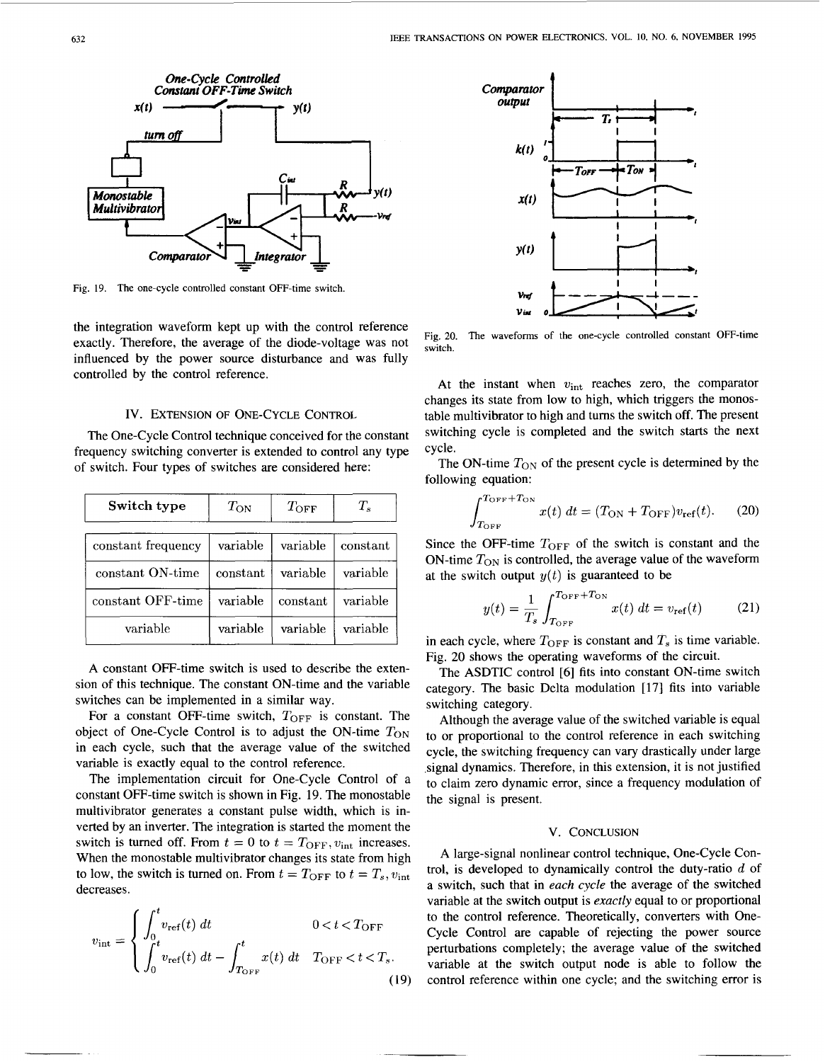

Fig. 19. The one-cycle controlled constant OFF-time switch.

the integration waveform kept up with the control reference exactly. Therefore, the average of the diode-voltage was not influenced by the power source disturbance and was fully controlled by the control reference.

## Iv. EXTENSION **OF** ONE-CYCLE CONTROL

The One-Cycle Control technique conceived for the constant frequency switching converter is extended to control any type of switch. Four types of switches are considered here:

| Switch type        | $T_{\rm ON}$ | $T_{\rm OFF}$ | $T_s$    |
|--------------------|--------------|---------------|----------|
| constant frequency | variable     | variable      | constant |
| constant ON-time   | constant     | variable      | variable |
| constant OFF-time  | variable     | constant      | variable |
| variable           | variable     | variable      | variable |

A constant OFF-time switch is used to describe the extension of this technique. The constant ON-time and the variable switches can be implemented in a similar way.

For a constant OFF-time switch,  $T_{\text{OFF}}$  is constant. The object of One-Cycle Control is to adjust the ON-time  $T_{\text{ON}}$ in each cycle, such that the average value of the switched variable is exactly equal to the control reference.

The implementation circuit for One-Cycle Control of a constant OFF-time switch is shown in Fig. 19. The monostable multivibrator generates a constant pulse width, which is inverted by an inverter. The integration is started the moment the switch is turned off. From  $t = 0$  to  $t = T_{\text{OFF}}$ ,  $v_{\text{int}}$  increases. When the monostable multivibrator changes its state from high to low, the switch is turned on. From  $t = T_{\text{OFF}}$  to  $t = T_s$ ,  $v_{\text{int}}$ decreases.

$$
v_{\rm int} = \begin{cases} \int_0^t v_{\rm ref}(t) \, dt & 0 < t < T_{\rm OFF} \\ \int_0^t v_{\rm ref}(t) \, dt - \int_{T_{\rm OFF}}^t x(t) \, dt & T_{\rm OFF} < t < T_s. \end{cases}
$$
(19)



**Fig.** 20. **The waveforms of the one-cycle controlled constant OFF-time switch.** 

At the instant when  $v_{\text{int}}$  reaches zero, the comparator changes its state from low to high, which triggers the monostable multivibrator to high and turns the switch off. The present switching cycle is completed and the switch starts the next cycle.

The ON-time  $T_{ON}$  of the present cycle is determined by the following equation:

$$
\int_{T_{\text{OFF}}}^{T_{\text{OFF}}+T_{\text{ON}}} x(t) dt = (T_{\text{ON}} + T_{\text{OFF}}) v_{\text{ref}}(t). \tag{20}
$$

Since the OFF-time *TOFF* of the switch is constant and the ON-time  $T_{ON}$  is controlled, the average value of the waveform

at the switch output 
$$
y(t)
$$
 is guaranteed to be  
\n
$$
y(t) = \frac{1}{T_s} \int_{T_{\text{OFF}}}^{T_{\text{OFF}}+T_{\text{ON}}} x(t) dt = v_{\text{ref}}(t) \qquad (21)
$$

in each cycle, where  $T_{\text{OFF}}$  is constant and  $T_s$  is time variable. Fig. 20 shows the operating waveforms of the circuit.

The ASDTIC control *[6]* fits into constant ON-time switch category. The basic Delta modulation [17] fits into variable switching category.

Although the average value of the switched variable is equal to or proportional to the control reference in each switching cycle, the switching frequency can vary drastically under large signal dynamics. Therefore, in this extension, it is not justified to claim zero dynamic error, since a frequency modulation of the signal is present.

# V. CONCLUSION

A large-signal nonlinear control technique, One-Cycle Control, is developed to dynamically control the duty-ratio  $d$  of a switch, such that in *each cycle* the average of the switched variable at the switch output is *exactly* equal to or proportional to the control reference. Theoretically, converters with One-Cycle Control are capable of rejecting the power source perturbations completely: the average value of the switched variable at the switch output node is able to follow the control reference within one cycle: and the switching error is